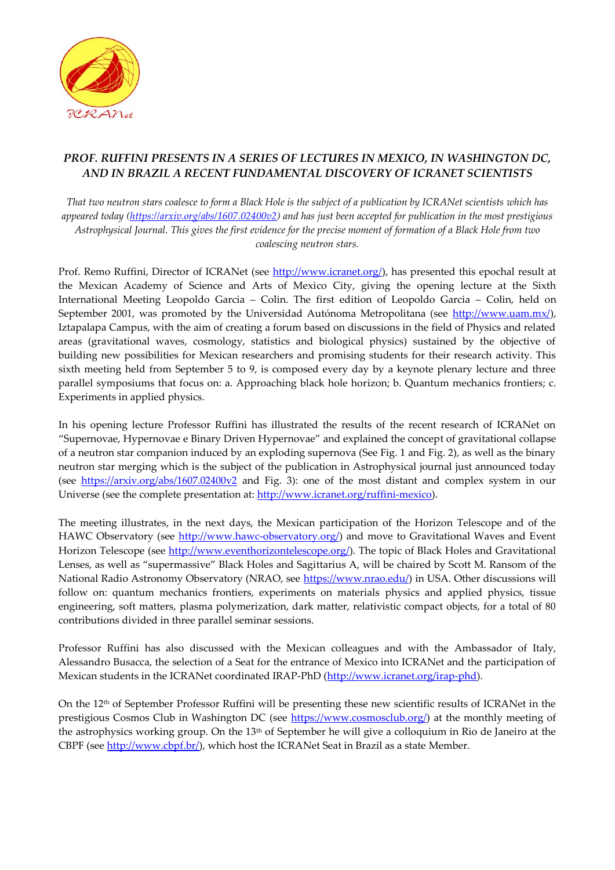

## *PROF. RUFFINI PRESENTS IN A SERIES OF LECTURES IN MEXICO, IN WASHINGTON DC, AND IN BRAZIL A RECENT FUNDAMENTAL DISCOVERY OF ICRANET SCIENTISTS*

*That two neutron stars coalesce to form a Black Hole is the subject of a publication by ICRANet scientists which has appeared today [\(https://arxiv.org/abs/1607.02400v2\)](https://arxiv.org/abs/1607.02400v2) and has just been accepted for publication in the most prestigious Astrophysical Journal. This gives the first evidence for the precise moment of formation of a Black Hole from two coalescing neutron stars.*

Prof. Remo Ruffini, Director of ICRANet (see [http://www.icranet.org/\)](http://www.icranet.org/), has presented this epochal result at the Mexican Academy of Science and Arts of Mexico City, giving the opening lecture at the Sixth International Meeting Leopoldo Garcia – Colin. The first edition of Leopoldo Garcia – Colin, held on September 2001, was promoted by the Universidad Autónoma Metropolitana (see [http://www.uam.mx/\)](http://www.uam.mx/), Iztapalapa Campus, with the aim of creating a forum based on discussions in the field of Physics and related areas (gravitational waves, cosmology, statistics and biological physics) sustained by the objective of building new possibilities for Mexican researchers and promising students for their research activity. This sixth meeting held from September 5 to 9, is composed every day by a keynote plenary lecture and three parallel symposiums that focus on: a. Approaching black hole horizon; b. Quantum mechanics frontiers; c. Experiments in applied physics.

In his opening lecture Professor Ruffini has illustrated the results of the recent research of ICRANet on "Supernovae, Hypernovae e Binary Driven Hypernovae" and explained the concept of gravitational collapse of a neutron star companion induced by an exploding supernova (See Fig. 1 and Fig. 2), as well as the binary neutron star merging which is the subject of the publication in Astrophysical journal just announced today (see <https://arxiv.org/abs/1607.02400v2> and Fig. 3): one of the most distant and complex system in our Universe (see the complete presentation at: [http://www.icranet.org/ruffini-mexico\)](http://www.icranet.org/ruffini-mexico).

The meeting illustrates, in the next days, the Mexican participation of the Horizon Telescope and of the HAWC Observatory (see [http://www.hawc-observatory.org/\)](http://www.hawc-observatory.org/) and move to Gravitational Waves and Event Horizon Telescope (see [http://www.eventhorizontelescope.org/\)](http://www.eventhorizontelescope.org/). The topic of Black Holes and Gravitational Lenses, as well as "supermassive" Black Holes and Sagittarius A, will be chaired by Scott M. Ransom of the National Radio Astronomy Observatory (NRAO, see [https://www.nrao.edu/\)](https://www.nrao.edu/) in USA. Other discussions will follow on: quantum mechanics frontiers, experiments on materials physics and applied physics, tissue engineering, soft matters, plasma polymerization, dark matter, relativistic compact objects, for a total of 80 contributions divided in three parallel seminar sessions.

Professor Ruffini has also discussed with the Mexican colleagues and with the Ambassador of Italy, Alessandro Busacca, the selection of a Seat for the entrance of Mexico into ICRANet and the participation of Mexican students in the ICRANet coordinated IRAP-PhD [\(http://www.icranet.org/irap-phd\)](http://www.icranet.org/irap-phd).

On the 12th of September Professor Ruffini will be presenting these new scientific results of ICRANet in the prestigious Cosmos Club in Washington DC (see [https://www.cosmosclub.org/\)](https://www.cosmosclub.org/) at the monthly meeting of the astrophysics working group. On the 13<sup>th</sup> of September he will give a colloquium in Rio de Janeiro at the CBPF (see [http://www.cbpf.br/\)](http://www.cbpf.br/), which host the ICRANet Seat in Brazil as a state Member.